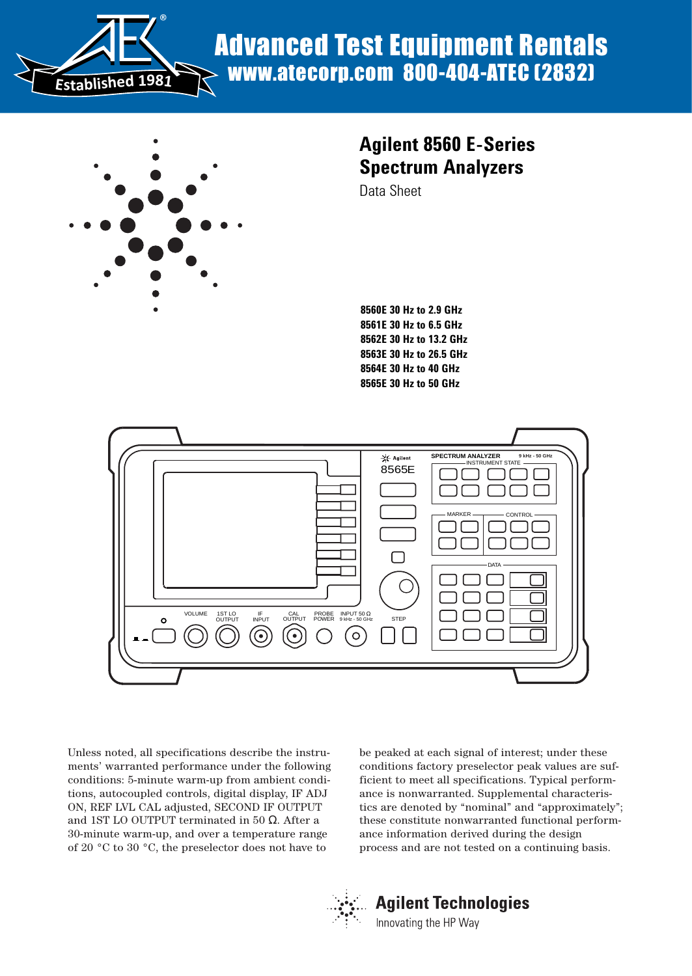

# Advanced Test Equipment Rentals www.atecorp.com 800-404-ATEC (2832)



# **Agilent 8560 E-Series Spectrum Analyzers**

Data Sheet

**8560E 30 Hz to 2.9 GHz 8561E 30 Hz to 6.5 GHz 8562E 30 Hz to 13.2 GHz 8563E 30 Hz to 26.5 GHz 8564E 30 Hz to 40 GHz 8565E 30 Hz to 50 GHz**



Unless noted, all specifications describe the instruments' warranted performance under the following conditions: 5-minute warm-up from ambient conditions, autocoupled controls, digital display, IF ADJ ON, REF LVL CAL adjusted, SECOND IF OUTPUT and 1ST LO OUTPUT terminated in 50 Ω. After a 30-minute warm-up, and over a temperature range of 20 °C to 30 °C, the preselector does not have to

be peaked at each signal of interest; under these conditions factory preselector peak values are sufficient to meet all specifications. Typical performance is nonwarranted. Supplemental characteristics are denoted by "nominal" and "approximately"; these constitute nonwarranted functional performance information derived during the design process and are not tested on a continuing basis.



# **Agilent Technologies**

Innovating the HP Way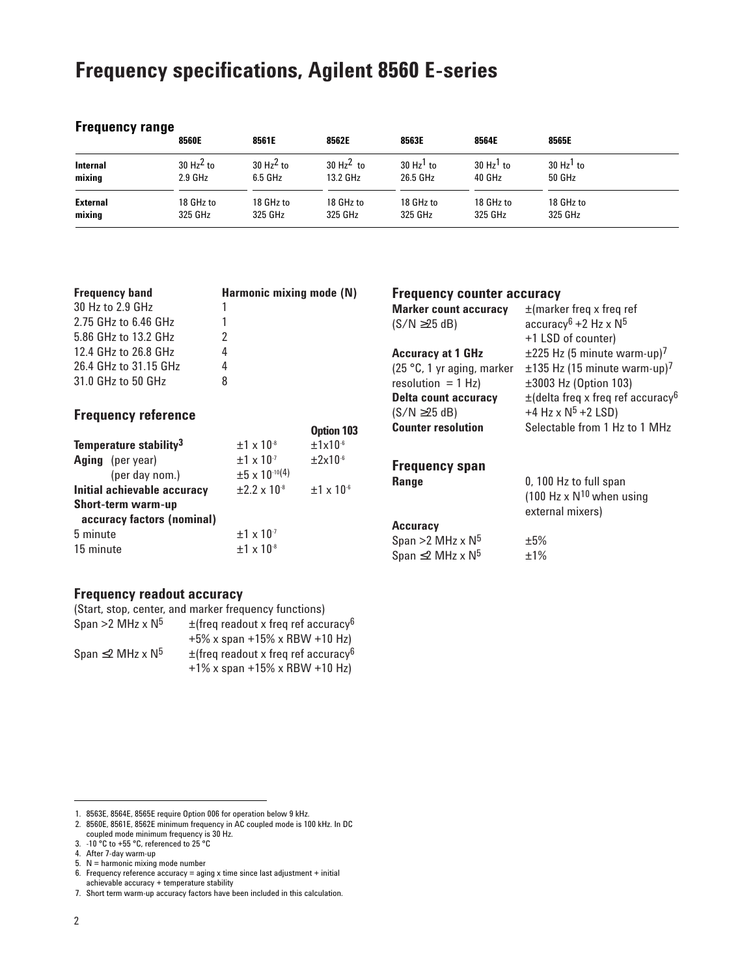# **Frequency specifications, Agilent 8560 E-series**

### **Frequency range**

|                 | 8560E                   | 8561E        | 8562E                | 8563E                | 8564E                   | 8565E                   |
|-----------------|-------------------------|--------------|----------------------|----------------------|-------------------------|-------------------------|
| <b>Internal</b> | $30$ Hz <sup>2</sup> to | 30 $Hz^2$ to | $30 \text{ Hz}^2$ to | $30 \text{ Hz}^1$ to | $30$ Hz <sup>1</sup> to | $30$ Hz <sup>1</sup> to |
| mixing          | $2.9$ GHz               | 6.5 GHz      | 13.2 GHz             | 26.5 GHz             | 40 GHz                  | 50 GHz                  |
| External        | 18 GHz to               | 18 GHz to    | 18 GHz to            | 18 GHz to            | 18 GHz to               | 18 GHz to               |
| mixing          | 325 GHz                 | 325 GHz      | 325 GHz              | 325 GHz              | 325 GHz                 | 325 GHz                 |

| <b>Frequency band</b><br>Harmonic mixing mode (N) |                                                   | <b>Frequency counter accuracy</b> |                                     |                                                                       |
|---------------------------------------------------|---------------------------------------------------|-----------------------------------|-------------------------------------|-----------------------------------------------------------------------|
| 30 Hz to 2.9 GHz                                  |                                                   |                                   | <b>Marker count accuracy</b>        | $\pm$ (marker freq x freq ref                                         |
| 2.75 GHz to 6.46 GHz                              |                                                   |                                   | $(S/N \geq 25 dB)$                  | accuracy <sup>6</sup> + 2 Hz x $N^5$                                  |
| 5.86 GHz to 13.2 GHz                              |                                                   |                                   |                                     | +1 LSD of counter)                                                    |
| 12.4 GHz to 26.8 GHz                              | 4                                                 |                                   | <b>Accuracy at 1 GHz</b>            | $\pm$ 225 Hz (5 minute warm-up) <sup>7</sup>                          |
| 26.4 GHz to 31.15 GHz                             | 4                                                 |                                   | $(25 °C, 1 yr$ aging, marker        | $\pm$ 135 Hz (15 minute warm-up) <sup>7</sup>                         |
| 31.0 GHz to 50 GHz                                | 8                                                 |                                   | resolution = $1$ Hz)                | ±3003 Hz (Option 103)                                                 |
|                                                   |                                                   |                                   | <b>Delta count accuracy</b>         | $\pm$ (delta freq x freq ref accuracy <sup>6</sup>                    |
| <b>Frequency reference</b>                        |                                                   |                                   | $(S/N \geq 25 dB)$                  | +4 Hz x $N^5$ +2 LSD)                                                 |
|                                                   |                                                   | Option 103                        | <b>Counter resolution</b>           | Selectable from 1 Hz to 1 MHz                                         |
| Temperature stability <sup>3</sup>                | $±1 \times 10^{-8}$                               | $±1x10^{-6}$                      |                                     |                                                                       |
| <b>Aging</b> (per year)<br>(per day nom.)         | $±1 \times 10^{-7}$<br>$\pm 5 \times 10^{-10(4)}$ | $\pm 2 \times 10^{-6}$            | <b>Frequency span</b>               |                                                                       |
| Initial achievable accuracy                       | $\pm 2.2 \times 10^{-8}$                          | $+1 \times 10^{-6}$               | <b>Range</b>                        | 0, 100 Hz to full span<br>(100 Hz $\times$ N <sup>10</sup> when using |
| Short-term warm-up                                |                                                   |                                   |                                     | external mixers)                                                      |
| accuracy factors (nominal)                        |                                                   |                                   | <b>Accuracy</b>                     |                                                                       |
| 5 minute                                          | $±1 \times 10^{-7}$                               |                                   | Span >2 MHz $\times$ N <sup>5</sup> | ±5%                                                                   |
| 15 minute                                         | $±1 \times 10^{-8}$                               |                                   | $0.555 \times 20.0111 = 0.015$      | .10/                                                                  |

Span >2 MHz  $\times$  N<sup>5</sup>  $\qquad$   $\pm$ 5% Span  $\leq$ 2 MHz x N<sup>5</sup>  $\pm$ 1%

### **Frequency readout accuracy**

| (Start, stop, center, and marker frequency functions) |                                                      |  |  |  |  |
|-------------------------------------------------------|------------------------------------------------------|--|--|--|--|
| Span >2 MHz $\times$ N <sup>5</sup>                   | $\pm$ (freq readout x freq ref accuracy <sup>6</sup> |  |  |  |  |
|                                                       | $+5\%$ x span $+15\%$ x RBW $+10$ Hz)                |  |  |  |  |
| Span $\leq$ 2 MHz x N <sup>5</sup>                    | $\pm$ (freq readout x freq ref accuracy <sup>6</sup> |  |  |  |  |
|                                                       | $+1\%$ x span $+15\%$ x RBW $+10$ Hz)                |  |  |  |  |

<sup>1. 8563</sup>E, 8564E, 8565E require Option 006 for operation below 9 kHz.

<sup>2. 8560</sup>E, 8561E, 8562E minimum frequency in AC coupled mode is 100 kHz. In DC

coupled mode minimum frequency is 30 Hz. 3. -10 °C to +55 °C, referenced to 25 °C

<sup>4.</sup> After 7-day warm-up

<sup>5.</sup> N = harmonic mixing mode number

<sup>6.</sup> Frequency reference accuracy = aging x time since last adjustment + initial

achievable accuracy + temperature stability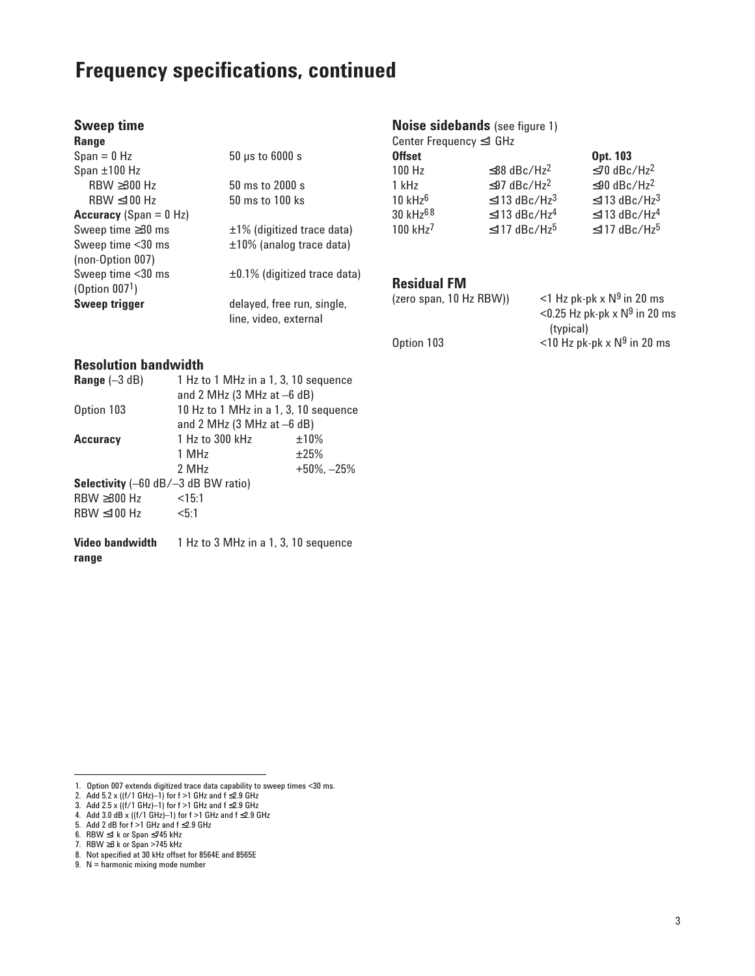# **Frequency specifications, continued**

| <b>Sweep time</b>               |                                    |
|---------------------------------|------------------------------------|
| Range                           |                                    |
| $Span = 0 Hz$                   | $50 \mu s$ to $6000 s$             |
| Span $\pm 100$ Hz               |                                    |
| $RBW \geq 300 Hz$               | 50 ms to 2000 s                    |
| RBW < 100 Hz                    | 50 ms to 100 ks                    |
| <b>Accuracy</b> (Span = $0$ Hz) |                                    |
| Sweep time $\geq$ 30 ms         | $\pm$ 1% (digitized trace data)    |
| Sweep time <30 ms               | $±10\%$ (analog trace data)        |
| (non-Option 007)                |                                    |
| Sweep time <30 ms               | $\pm 0.1\%$ (digitized trace data) |
| (Option $0071$ )                |                                    |
| <b>Sweep trigger</b>            | delayed, free run, single,         |
|                                 | line, video, external              |

## **Resolution bandwidth**

| <b>Range</b> $(-3 dB)$<br>1 Hz to 1 MHz in a 1, 3, 10 sequence |                                               |                   |  |  |  |
|----------------------------------------------------------------|-----------------------------------------------|-------------------|--|--|--|
|                                                                | and 2 MHz $(3 \text{ MHz at } -6 \text{ dB})$ |                   |  |  |  |
| Option 103                                                     | 10 Hz to 1 MHz in a 1, 3, 10 sequence         |                   |  |  |  |
|                                                                | and 2 MHz $(3 \text{ MHz at } -6 \text{ dB})$ |                   |  |  |  |
| <b>Accuracy</b>                                                | 1 Hz to 300 kHz                               | $±10\%$           |  |  |  |
|                                                                | 1 MHz                                         | ±25%              |  |  |  |
|                                                                | 2 MHz                                         | $+50\%$ , $-25\%$ |  |  |  |
| <b>Selectivity</b> $(-60 \text{ dB}/-3 \text{ dB BW ratio})$   |                                               |                   |  |  |  |
| RBW ≥300 Hz                                                    | <15:1                                         |                   |  |  |  |
| $RBW \leq 100 Hz$                                              | < 5:1                                         |                   |  |  |  |
|                                                                |                                               |                   |  |  |  |
|                                                                |                                               |                   |  |  |  |

**Video bandwidth** 1 Hz to 3 MHz in a 1, 3, 10 sequence **range**

## 1. Option 007 extends digitized trace data capability to sweep times <30 ms. 2. Add 5.2 x ((f/1 GHz)–1) for f >1 GHz and f ≤2.9 GHz

### **Noise sidebands** (see figure 1)

| Center Frequency $\leq$ 1 GHz |                                |                                |
|-------------------------------|--------------------------------|--------------------------------|
| <b>Offset</b>                 |                                | Opt. 103                       |
| 100 Hz                        | $\leq$ 88 dBc/Hz <sup>2</sup>  | $\leq$ 70 dBc/Hz <sup>2</sup>  |
| 1 kHz                         | $\leq$ 97 dBc/Hz <sup>2</sup>  | $\leq$ 90 dBc/Hz <sup>2</sup>  |
| $10$ kHz $6$                  | $\leq$ 113 dBc/Hz <sup>3</sup> | $\leq$ 113 dBc/Hz <sup>3</sup> |
| 30 kHz <sup>6,8</sup>         | $\leq$ 113 dBc/Hz <sup>4</sup> | $\leq$ 113 dBc/Hz <sup>4</sup> |
| 100 kHz <sup>7</sup>          | $\leq$ 117 dBc/Hz <sup>5</sup> | $\leq$ 117 dBc/Hz <sup>5</sup> |
|                               |                                |                                |

### **Residual FM**

| (zero span, 10 Hz RBW)) | <1 Hz pk-pk $\times$ N <sup>9</sup> in 20 ms<br><0.25 Hz pk-pk $\times$ N <sup>9</sup> in 20 ms |
|-------------------------|-------------------------------------------------------------------------------------------------|
| Option 103              | (typical)<br>$<$ 10 Hz pk-pk x N <sup>9</sup> in 20 ms                                          |
|                         |                                                                                                 |

<sup>3.</sup> Add 2.5 x ((f/1 GHz)–1) for f >1 GHz and f ≤2.9 GHz

<sup>4.</sup> Add 3.0 dB x ((f/1 GHz)–1) for f >1 GHz and f ≤2.9 GHz

<sup>5.</sup> Add 2 dB for f >1 GHz and f ≤2.9 GHz

<sup>6.</sup> RBW ≤1 k or Span ≤745 kHz

<sup>7.</sup> RBW ≥3 k or Span >745 kHz

<sup>8.</sup> Not specified at 30 kHz offset for 8564E and 8565E

<sup>9.</sup> N = harmonic mixing mode number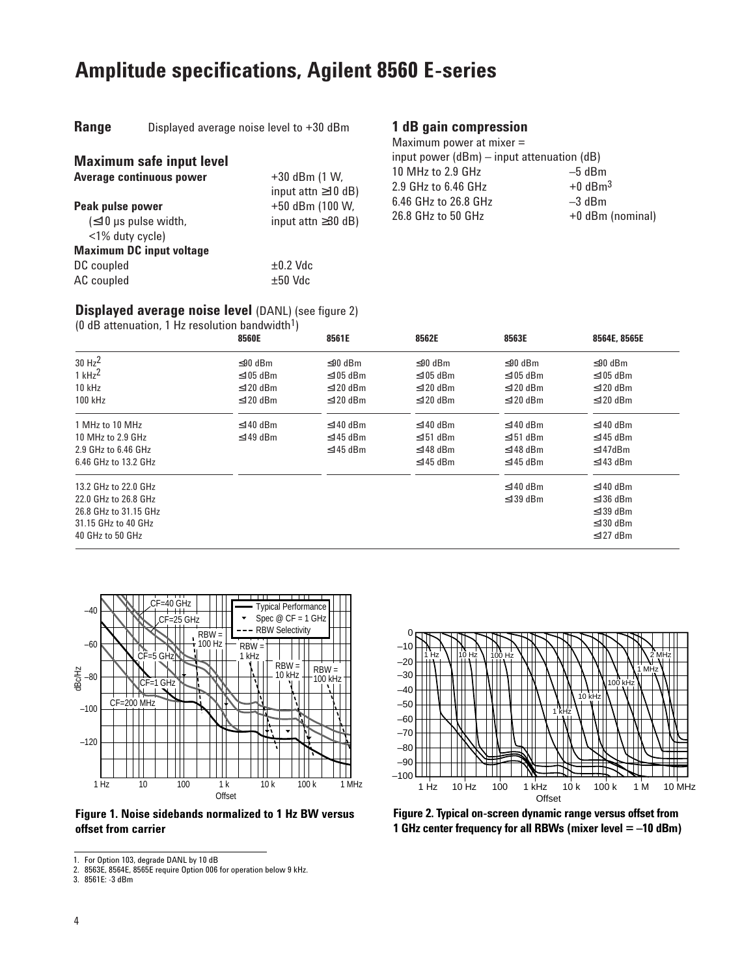# **Amplitude specifications, Agilent 8560 E-series**

| <b>Range</b><br>Displayed average noise level to +30 dBm |  |
|----------------------------------------------------------|--|
|----------------------------------------------------------|--|

### **1 dB gain compression** Maximum power at mixer =

| <b>Maximum safe input level</b>                                                  |                                             | input power $(dBm)$ – input attenuation $(dB)$ |                                   |  |
|----------------------------------------------------------------------------------|---------------------------------------------|------------------------------------------------|-----------------------------------|--|
| Average continuous power                                                         | $+30$ dBm (1 W,<br>input attn $\geq$ 10 dB) | 10 MHz to 2.9 GHz<br>2.9 GHz to 6.46 GHz       | $-5$ dBm<br>$+0$ dBm <sup>3</sup> |  |
| Peak pulse power<br>$(\leq 10 \,\mu s \,\text{pulse width.})$<br><1% duty cycle) | +50 dBm (100 W,<br>input attn $\geq$ 30 dB) | 6.46 GHz to 26.8 GHz<br>26.8 GHz to 50 GHz     | $-3$ dBm<br>+0 dBm (nominal)      |  |
| <b>Maximum DC input voltage</b>                                                  |                                             |                                                |                                   |  |
| DC coupled                                                                       | $\pm 0.2$ Vdc                               |                                                |                                   |  |
| AC coupled                                                                       | $\pm 50$ Vdc                                |                                                |                                   |  |

### **Displayed average noise level** (DANL) (see figure 2)

 $(0 \text{ dB} \cdot \text{at}_{\text{equation}}^{\text{rel}})$ 

| (0 dD attenuation, 1 Hz resolution bandwidth") | <b>8560E</b>   | 8561E          | 8562E          | 8563E          | 8564E, 8565E   |
|------------------------------------------------|----------------|----------------|----------------|----------------|----------------|
| 30 Hz <sup>2</sup>                             | ≤ $90$ dBm     | $\leq 90$ dBm  | $≤90$ dBm      | $≤90$ dBm      | $\leq 90$ dBm  |
| $1$ kHz <sup>2</sup>                           | $\leq$ 105 dBm | $\leq 105$ dBm | $\leq 105$ dBm | $\leq$ 105 dBm | $\leq 105$ dBm |
| 10 kHz                                         | $\leq$ 120 dBm | $\leq$ 120 dBm | $\leq$ 120 dBm | $\leq$ 120 dBm | $\leq$ 120 dBm |
| 100 kHz                                        | $\leq$ 120 dBm | $\leq$ 120 dBm | $\leq$ 120 dBm | $\leq$ 120 dBm | $\leq$ 120 dBm |
| 1 MHz to 10 MHz                                | $\leq$ 140 dBm | $\leq$ 140 dBm | $\leq$ 140 dBm | $\leq$ 140 dBm | $≤140$ dBm     |
| 10 MHz to 2.9 GHz                              | $\leq$ 149 dBm | $\leq$ 145 dBm | $\leq$ 151 dBm | $\leq$ 151 dBm | $\leq$ 145 dBm |
| $2.9$ GHz to 6.46 GHz                          |                | $\leq$ 145 dBm | $\leq$ 148 dBm | $≤148$ dBm     | $\leq$ 147dBm  |
| 6.46 GHz to 13.2 GHz                           |                |                | $\leq$ 145 dBm | $\leq$ 145 dBm | $\leq$ 143 dBm |
| 13.2 GHz to 22.0 GHz                           |                |                |                | $\leq$ 140 dBm | $≤140$ dBm     |
| 22.0 GHz to 26.8 GHz                           |                |                |                | $\leq$ 139 dBm | $≤136$ dBm     |
| 26.8 GHz to 31.15 GHz                          |                |                |                |                | $\leq$ 139 dBm |
| 31.15 GHz to 40 GHz                            |                |                |                |                | $\leq$ 130 dBm |
| 40 GHz to 50 GHz                               |                |                |                |                | $\leq$ 127 dBm |



**Figure 1. Noise sidebands normalized to 1 Hz BW versus offset from carrier**



**Figure 2. Typical on-screen dynamic range versus offset from 1 GHz center frequency for all RBWs (mixer level = –10 dBm)** 

<sup>1.</sup> For Option 103, degrade DANL by 10 dB

<sup>2. 8563</sup>E, 8564E, 8565E require Option 006 for operation below 9 kHz.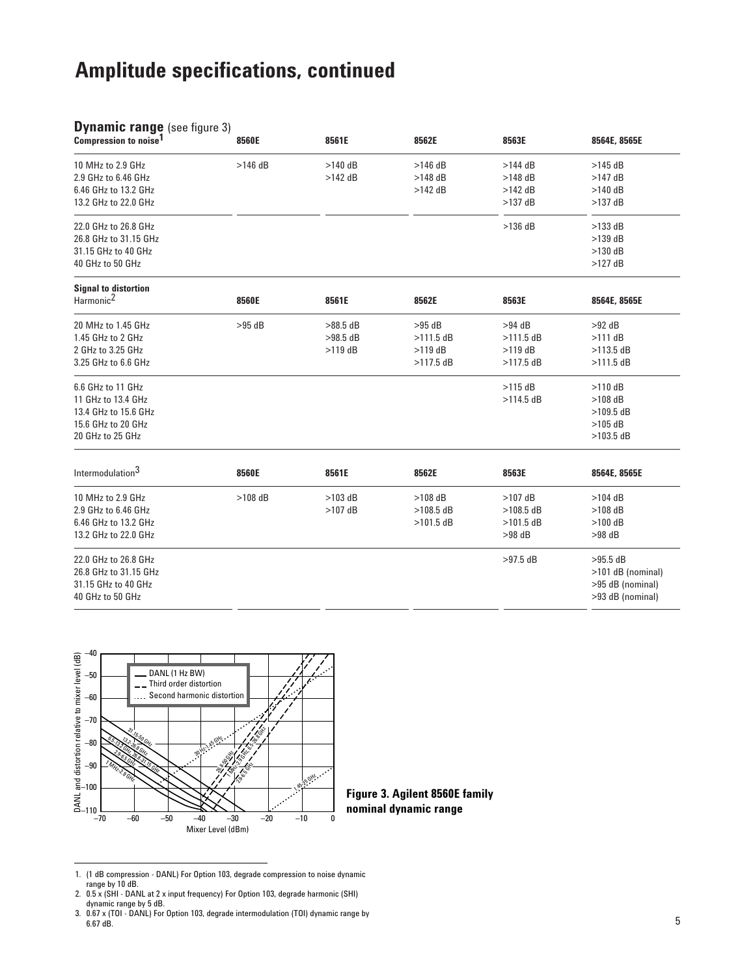| 10 MHz to 2.9 GHz<br>$>146$ dB<br>$>140$ dB<br>$>146$ dB<br>$>144$ dB<br>$>145$ dB<br>2.9 GHz to 6.46 GHz<br>$>148$ dB<br>$>148$ dB<br>$>142$ dB<br>$>147$ dB<br>6.46 GHz to 13.2 GHz<br>$>142$ dB<br>$>142$ dB<br>$>140$ dB<br>13.2 GHz to 22.0 GHz<br>$>137$ dB<br>$>137$ dB<br>22.0 GHz to 26.8 GHz<br>$>136$ dB<br>$>133$ dB<br>26.8 GHz to 31.15 GHz<br>$>139$ dB<br>31.15 GHz to 40 GHz<br>$>130$ dB<br>40 GHz to 50 GHz<br>$>127$ dB<br><b>Signal to distortion</b><br>Harmonic <sup>2</sup><br>8560E<br>8561E<br>8562E<br>8563E<br>8564E, 8565E<br>20 MHz to 1.45 GHz<br>$>95$ dB<br>$>88.5$ dB<br>$>95$ dB<br>$>94$ dB<br>$>92$ dB<br>1.45 GHz to 2 GHz<br>$>98.5$ dB<br>$>111.5$ dB<br>$>111.5$ dB<br>$>111$ dB<br>2 GHz to 3.25 GHz<br>$>119$ dB<br>$>119$ dB<br>$>119$ dB<br>$>113.5$ dB<br>3.25 GHz to 6.6 GHz<br>$>117.5$ dB<br>$>117.5$ dB<br>$>111.5$ dB<br>$>115$ dB<br>6.6 GHz to 11 GHz<br>$>110$ dB<br>11 GHz to 13.4 GHz<br>$>114.5$ dB<br>$>108$ dB<br>13.4 GHz to 15.6 GHz<br>$>109.5$ dB<br>15.6 GHz to 20 GHz<br>$>105$ dB<br>20 GHz to 25 GHz<br>$>103.5$ dB<br>Intermodulation <sup>3</sup><br>8560E<br>8561E<br>8562E<br>8563E<br>8564E, 8565E<br>10 MHz to 2.9 GHz<br>$>108$ dB<br>$>103$ dB<br>$>108$ dB<br>$>107$ dB<br>$>104$ dB<br>2.9 GHz to 6.46 GHz<br>$>107$ dB<br>$>108.5$ dB<br>$>108.5$ dB<br>$>108$ dB<br>6.46 GHz to 13.2 GHz<br>$>101.5$ dB<br>$>101.5$ dB<br>$>100$ dB<br>13.2 GHz to 22.0 GHz<br>$>98$ dB<br>$>98$ dB<br>22.0 GHz to 26.8 GHz<br>$>97.5$ dB<br>$>95.5$ dB<br>26.8 GHz to 31.15 GHz<br>>101 dB (nominal)<br>31.15 GHz to 40 GHz<br>>95 dB (nominal)<br>40 GHz to 50 GHz<br>>93 dB (nominal) | <b>Dynamic range (see figure 3)</b><br>Compression to noise <sup>1</sup> | 8560E | 8561E | 8562E | 8563E | 8564E, 8565E |
|---------------------------------------------------------------------------------------------------------------------------------------------------------------------------------------------------------------------------------------------------------------------------------------------------------------------------------------------------------------------------------------------------------------------------------------------------------------------------------------------------------------------------------------------------------------------------------------------------------------------------------------------------------------------------------------------------------------------------------------------------------------------------------------------------------------------------------------------------------------------------------------------------------------------------------------------------------------------------------------------------------------------------------------------------------------------------------------------------------------------------------------------------------------------------------------------------------------------------------------------------------------------------------------------------------------------------------------------------------------------------------------------------------------------------------------------------------------------------------------------------------------------------------------------------------------------------------------------------------------------------------------------------------|--------------------------------------------------------------------------|-------|-------|-------|-------|--------------|
|                                                                                                                                                                                                                                                                                                                                                                                                                                                                                                                                                                                                                                                                                                                                                                                                                                                                                                                                                                                                                                                                                                                                                                                                                                                                                                                                                                                                                                                                                                                                                                                                                                                         |                                                                          |       |       |       |       |              |
|                                                                                                                                                                                                                                                                                                                                                                                                                                                                                                                                                                                                                                                                                                                                                                                                                                                                                                                                                                                                                                                                                                                                                                                                                                                                                                                                                                                                                                                                                                                                                                                                                                                         |                                                                          |       |       |       |       |              |
|                                                                                                                                                                                                                                                                                                                                                                                                                                                                                                                                                                                                                                                                                                                                                                                                                                                                                                                                                                                                                                                                                                                                                                                                                                                                                                                                                                                                                                                                                                                                                                                                                                                         |                                                                          |       |       |       |       |              |
|                                                                                                                                                                                                                                                                                                                                                                                                                                                                                                                                                                                                                                                                                                                                                                                                                                                                                                                                                                                                                                                                                                                                                                                                                                                                                                                                                                                                                                                                                                                                                                                                                                                         |                                                                          |       |       |       |       |              |
|                                                                                                                                                                                                                                                                                                                                                                                                                                                                                                                                                                                                                                                                                                                                                                                                                                                                                                                                                                                                                                                                                                                                                                                                                                                                                                                                                                                                                                                                                                                                                                                                                                                         |                                                                          |       |       |       |       |              |
|                                                                                                                                                                                                                                                                                                                                                                                                                                                                                                                                                                                                                                                                                                                                                                                                                                                                                                                                                                                                                                                                                                                                                                                                                                                                                                                                                                                                                                                                                                                                                                                                                                                         |                                                                          |       |       |       |       |              |
|                                                                                                                                                                                                                                                                                                                                                                                                                                                                                                                                                                                                                                                                                                                                                                                                                                                                                                                                                                                                                                                                                                                                                                                                                                                                                                                                                                                                                                                                                                                                                                                                                                                         |                                                                          |       |       |       |       |              |
|                                                                                                                                                                                                                                                                                                                                                                                                                                                                                                                                                                                                                                                                                                                                                                                                                                                                                                                                                                                                                                                                                                                                                                                                                                                                                                                                                                                                                                                                                                                                                                                                                                                         |                                                                          |       |       |       |       |              |
|                                                                                                                                                                                                                                                                                                                                                                                                                                                                                                                                                                                                                                                                                                                                                                                                                                                                                                                                                                                                                                                                                                                                                                                                                                                                                                                                                                                                                                                                                                                                                                                                                                                         |                                                                          |       |       |       |       |              |
|                                                                                                                                                                                                                                                                                                                                                                                                                                                                                                                                                                                                                                                                                                                                                                                                                                                                                                                                                                                                                                                                                                                                                                                                                                                                                                                                                                                                                                                                                                                                                                                                                                                         |                                                                          |       |       |       |       |              |
|                                                                                                                                                                                                                                                                                                                                                                                                                                                                                                                                                                                                                                                                                                                                                                                                                                                                                                                                                                                                                                                                                                                                                                                                                                                                                                                                                                                                                                                                                                                                                                                                                                                         |                                                                          |       |       |       |       |              |
|                                                                                                                                                                                                                                                                                                                                                                                                                                                                                                                                                                                                                                                                                                                                                                                                                                                                                                                                                                                                                                                                                                                                                                                                                                                                                                                                                                                                                                                                                                                                                                                                                                                         |                                                                          |       |       |       |       |              |
|                                                                                                                                                                                                                                                                                                                                                                                                                                                                                                                                                                                                                                                                                                                                                                                                                                                                                                                                                                                                                                                                                                                                                                                                                                                                                                                                                                                                                                                                                                                                                                                                                                                         |                                                                          |       |       |       |       |              |
|                                                                                                                                                                                                                                                                                                                                                                                                                                                                                                                                                                                                                                                                                                                                                                                                                                                                                                                                                                                                                                                                                                                                                                                                                                                                                                                                                                                                                                                                                                                                                                                                                                                         |                                                                          |       |       |       |       |              |
|                                                                                                                                                                                                                                                                                                                                                                                                                                                                                                                                                                                                                                                                                                                                                                                                                                                                                                                                                                                                                                                                                                                                                                                                                                                                                                                                                                                                                                                                                                                                                                                                                                                         |                                                                          |       |       |       |       |              |
|                                                                                                                                                                                                                                                                                                                                                                                                                                                                                                                                                                                                                                                                                                                                                                                                                                                                                                                                                                                                                                                                                                                                                                                                                                                                                                                                                                                                                                                                                                                                                                                                                                                         |                                                                          |       |       |       |       |              |
|                                                                                                                                                                                                                                                                                                                                                                                                                                                                                                                                                                                                                                                                                                                                                                                                                                                                                                                                                                                                                                                                                                                                                                                                                                                                                                                                                                                                                                                                                                                                                                                                                                                         |                                                                          |       |       |       |       |              |
|                                                                                                                                                                                                                                                                                                                                                                                                                                                                                                                                                                                                                                                                                                                                                                                                                                                                                                                                                                                                                                                                                                                                                                                                                                                                                                                                                                                                                                                                                                                                                                                                                                                         |                                                                          |       |       |       |       |              |
|                                                                                                                                                                                                                                                                                                                                                                                                                                                                                                                                                                                                                                                                                                                                                                                                                                                                                                                                                                                                                                                                                                                                                                                                                                                                                                                                                                                                                                                                                                                                                                                                                                                         |                                                                          |       |       |       |       |              |
|                                                                                                                                                                                                                                                                                                                                                                                                                                                                                                                                                                                                                                                                                                                                                                                                                                                                                                                                                                                                                                                                                                                                                                                                                                                                                                                                                                                                                                                                                                                                                                                                                                                         |                                                                          |       |       |       |       |              |
|                                                                                                                                                                                                                                                                                                                                                                                                                                                                                                                                                                                                                                                                                                                                                                                                                                                                                                                                                                                                                                                                                                                                                                                                                                                                                                                                                                                                                                                                                                                                                                                                                                                         |                                                                          |       |       |       |       |              |
|                                                                                                                                                                                                                                                                                                                                                                                                                                                                                                                                                                                                                                                                                                                                                                                                                                                                                                                                                                                                                                                                                                                                                                                                                                                                                                                                                                                                                                                                                                                                                                                                                                                         |                                                                          |       |       |       |       |              |
|                                                                                                                                                                                                                                                                                                                                                                                                                                                                                                                                                                                                                                                                                                                                                                                                                                                                                                                                                                                                                                                                                                                                                                                                                                                                                                                                                                                                                                                                                                                                                                                                                                                         |                                                                          |       |       |       |       |              |
|                                                                                                                                                                                                                                                                                                                                                                                                                                                                                                                                                                                                                                                                                                                                                                                                                                                                                                                                                                                                                                                                                                                                                                                                                                                                                                                                                                                                                                                                                                                                                                                                                                                         |                                                                          |       |       |       |       |              |
|                                                                                                                                                                                                                                                                                                                                                                                                                                                                                                                                                                                                                                                                                                                                                                                                                                                                                                                                                                                                                                                                                                                                                                                                                                                                                                                                                                                                                                                                                                                                                                                                                                                         |                                                                          |       |       |       |       |              |
|                                                                                                                                                                                                                                                                                                                                                                                                                                                                                                                                                                                                                                                                                                                                                                                                                                                                                                                                                                                                                                                                                                                                                                                                                                                                                                                                                                                                                                                                                                                                                                                                                                                         |                                                                          |       |       |       |       |              |
|                                                                                                                                                                                                                                                                                                                                                                                                                                                                                                                                                                                                                                                                                                                                                                                                                                                                                                                                                                                                                                                                                                                                                                                                                                                                                                                                                                                                                                                                                                                                                                                                                                                         |                                                                          |       |       |       |       |              |
|                                                                                                                                                                                                                                                                                                                                                                                                                                                                                                                                                                                                                                                                                                                                                                                                                                                                                                                                                                                                                                                                                                                                                                                                                                                                                                                                                                                                                                                                                                                                                                                                                                                         |                                                                          |       |       |       |       |              |



**Figure 3. Agilent 8560E family nominal dynamic range**

- 2. 0.5 x (SHI DANL at 2 x input frequency) For Option 103, degrade harmonic (SHI) dynamic range by 5 dB.
- 3. 0.67 x (TOI DANL) For Option 103, degrade intermodulation (TOI) dynamic range by 6.67 dB.

<sup>1. (1</sup> dB compression - DANL) For Option 103, degrade compression to noise dynamic range by 10 dB.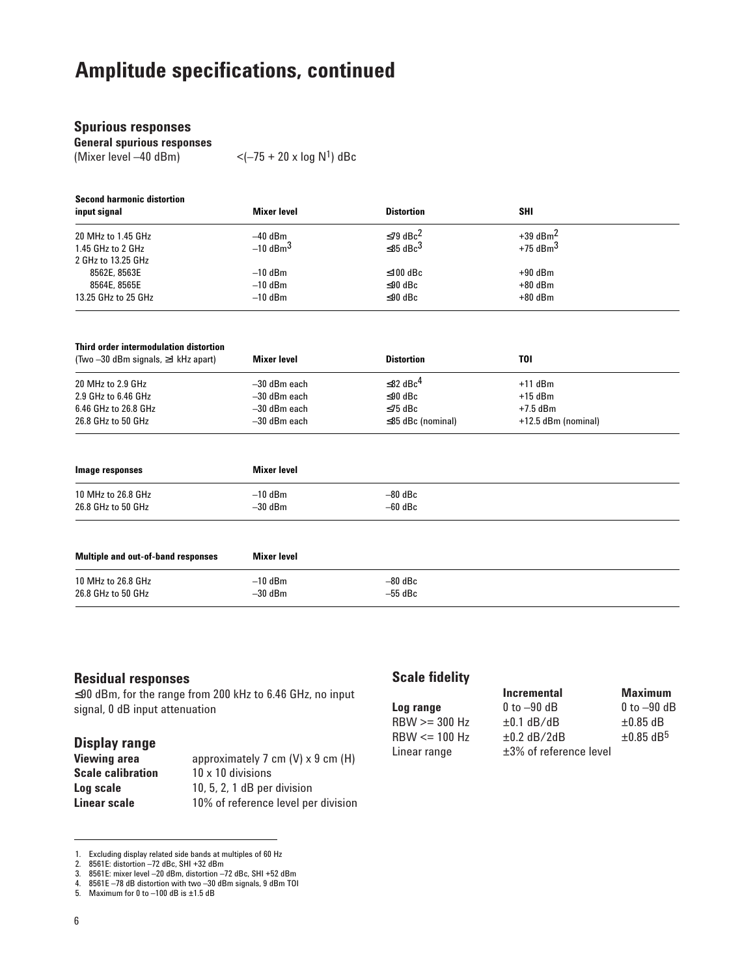|  |  | <b>Spurious responses</b> |
|--|--|---------------------------|
|  |  |                           |

**General spurious responses**

(Mixer level  $-40$  dBm)  $<$   $<$   $(-75 + 20 \times \log N<sup>1</sup>)$  dBc

| <b>Second harmonic distortion</b> |                        |                            |                        |  |
|-----------------------------------|------------------------|----------------------------|------------------------|--|
| input signal                      | <b>Mixer level</b>     | <b>Distortion</b>          | <b>SHI</b>             |  |
| 20 MHz to 1.45 GHz                | $-40$ dBm              | $≤79$ dBc <sup>2</sup>     | $+39$ dBm <sup>2</sup> |  |
| 1.45 GHz to 2 GHz                 | $-10$ dBm <sup>3</sup> | $\leq$ 85 dBc <sup>3</sup> | $+75$ dBm <sup>3</sup> |  |
| 2 GHz to 13.25 GHz                |                        |                            |                        |  |
| 8562E, 8563E                      | $-10$ dBm              | $≤100$ dBc                 | $+90$ dBm              |  |
| 8564E, 8565E                      | $-10$ dBm              | $≤90$ dBc                  | $+80$ dBm              |  |
| 13.25 GHz to 25 GHz               | $-10$ dBm              | $≤90$ dBc                  | $+80$ dBm              |  |

| Third order intermodulation distortion<br>(Two $-30$ dBm signals, $\geq 1$ kHz apart) | Mixer level    | <b>Distortion</b>          | TOI                 |  |
|---------------------------------------------------------------------------------------|----------------|----------------------------|---------------------|--|
| 20 MHz to 2.9 GHz                                                                     | -30 dBm each   | $\leq$ 82 dBc <sup>4</sup> | $+11$ dBm           |  |
| 2.9 GHz to 6.46 GHz                                                                   | -30 dBm each   | ≤ $90$ dBc                 | $+15$ dBm           |  |
| 6.46 GHz to 26.8 GHz                                                                  | -30 dBm each   | ≤75 dBc                    | $+7.5$ dBm          |  |
| 26.8 GHz to 50 GHz                                                                    | $-30$ dBm each | $\leq$ 85 dBc (nominal)    | +12.5 dBm (nominal) |  |

| Image responses    | Mixer level |           |  |
|--------------------|-------------|-----------|--|
| 10 MHz to 26.8 GHz | $-10$ dBm   | $-80$ dBc |  |
| 26.8 GHz to 50 GHz | $-30$ dBm   | $-60$ dBc |  |
|                    |             |           |  |

| Multiple and out-of-band responses | Mixer level |           |  |
|------------------------------------|-------------|-----------|--|
| 10 MHz to 26.8 GHz                 | $-10$ dBm   | $-80$ dBc |  |
| 26.8 GHz to 50 GHz                 | $-30$ dBm   | $-55$ dBc |  |

### **Residual responses**

≤90 dBm, for the range from 200 kHz to 6.46 GHz, no input signal, 0 dB input attenuation

## **Display range**

| approximately 7 cm $(V)$ x 9 cm $(H)$ |
|---------------------------------------|
| $10 \times 10$ divisions              |
| $10, 5, 2, 1$ dB per division         |
| 10% of reference level per division   |
|                                       |

### **Scale fidelity**

|                   | <b>Incremental</b>           | <b>Maximum</b>             |
|-------------------|------------------------------|----------------------------|
| Log range         | $0$ to $-90$ dB              | $0$ to $-90$ dB            |
| $RBW \geq 300 Hz$ | $\pm 0.1$ dB/dB              | $\pm 0.85$ dB              |
| $RBW \leq 100 Hz$ | $\pm 0.2$ dB/2dB             | $\pm 0.85$ dB <sup>5</sup> |
| Linear range      | $\pm 3\%$ of reference level |                            |

<sup>1.</sup> Excluding display related side bands at multiples of 60 Hz

<sup>2. 8561</sup>E: distortion –72 dBc, SHI +32 dBm

<sup>3. 8561</sup>E: mixer level –20 dBm, distortion –72 dBc, SHI +52 dBm

<sup>4. 8561</sup>E –78 dB distortion with two –30 dBm signals, 9 dBm TOI

<sup>5.</sup> Maximum for 0 to –100 dB is ±1.5 dB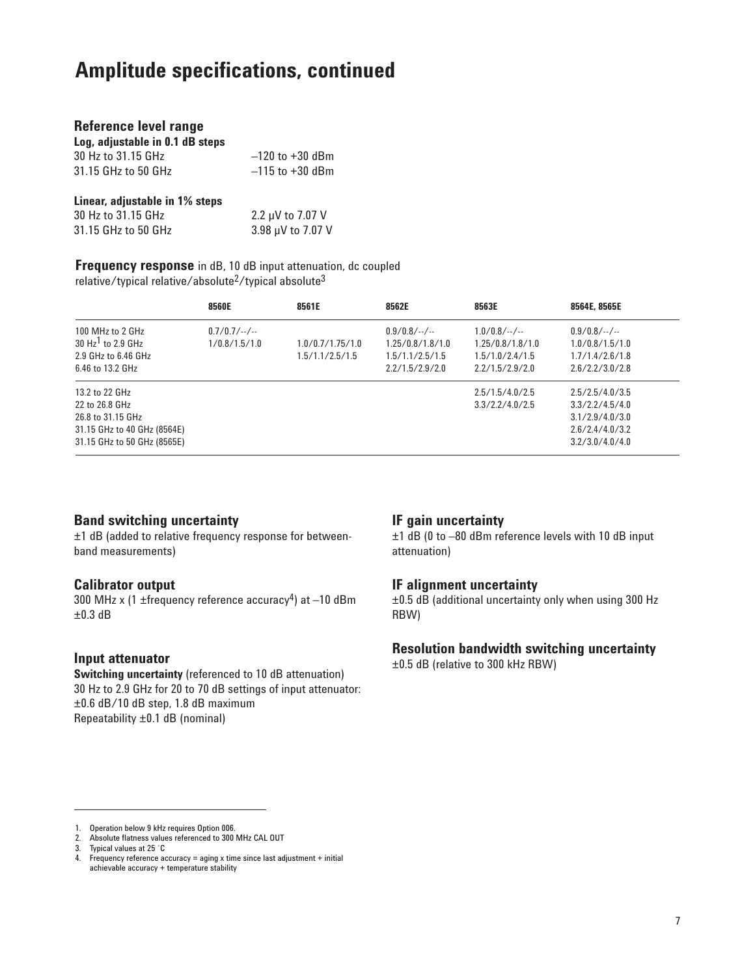| Reference level range           |                     |
|---------------------------------|---------------------|
| Log, adjustable in 0.1 dB steps |                     |
| 30 Hz to 31.15 GHz              | $-120$ to $+30$ dBm |
| 31.15 GHz to 50 GHz             | $-115$ to $+30$ dBm |
| Linear, adjustable in 1% steps  |                     |
| 30 Hz to 31.15 GHz              | 2.2 µV to 7.07 V    |
| 31.15 GHz to 50 GHz             | 3.98 µV to 7.07 V   |

**Frequency response** in dB, 10 dB input attenuation, dc coupled relative/typical relative/absolute2/typical absolute3

|                                                                                                                     | 8560E                         | 8561E                               | 8562E                                                                      | 8563E                                                                    | 8564E, 8565E                                                                                |
|---------------------------------------------------------------------------------------------------------------------|-------------------------------|-------------------------------------|----------------------------------------------------------------------------|--------------------------------------------------------------------------|---------------------------------------------------------------------------------------------|
| 100 MHz to 2 GHz<br>30 $Hz1$ to 2.9 GHz<br>2.9 GHz to 6.46 GHz<br>6.46 to 13.2 GHz                                  | $0.7/0.7/-.$<br>1/0.8/1.5/1.0 | 1.0/0.7/1.75/1.0<br>1.5/1.1/2.5/1.5 | $0.9/0.8/-.$ /--<br>1.25/0.8/1.8/1.0<br>1.5/1.1/2.5/1.5<br>2.2/1.5/2.9/2.0 | $1.0/0.8/-.$ /<br>1.25/0.8/1.8/1.0<br>1.5/1.0/2.4/1.5<br>2.2/1.5/2.9/2.0 | $0.9/0.8/-.$ /<br>1.0/0.8/1.5/1.0<br>1.7/1.4/2.6/1.8<br>2.6/2.2/3.0/2.8                     |
| 13.2 to 22 GHz<br>22 to 26.8 GHz<br>26.8 to 31.15 GHz<br>31.15 GHz to 40 GHz (8564E)<br>31.15 GHz to 50 GHz (8565E) |                               |                                     |                                                                            | 2.5/1.5/4.0/2.5<br>3.3/2.2/4.0/2.5                                       | 2.5/2.5/4.0/3.5<br>3.3/2.2/4.5/4.0<br>3.1/2.9/4.0/3.0<br>2.6/2.4/4.0/3.2<br>3.2/3.0/4.0/4.0 |

### **Band switching uncertainty**

±1 dB (added to relative frequency response for betweenband measurements)

### **Calibrator output**

300 MHz x (1 ±frequency reference accuracy<sup>4</sup>) at  $-10$  dBm  $\pm 0.3$  dB

### **Input attenuator**

**Switching uncertainty** (referenced to 10 dB attenuation) 30 Hz to 2.9 GHz for 20 to 70 dB settings of input attenuator: ±0.6 dB/10 dB step, 1.8 dB maximum Repeatability ±0.1 dB (nominal)

### **IF gain uncertainty**

±1 dB (0 to –80 dBm reference levels with 10 dB input attenuation)

### **IF alignment uncertainty**

±0.5 dB (additional uncertainty only when using 300 Hz RBW)

### **Resolution bandwidth switching uncertainty**

±0.5 dB (relative to 300 kHz RBW)

<sup>1.</sup> Operation below 9 kHz requires Option 006.

<sup>2.</sup> Absolute flatness values referenced to 300 MHz CAL OUT

<sup>3.</sup> Typical values at 25 ˚C

<sup>4.</sup> Frequency reference accuracy = aging x time since last adjustment + initial achievable accuracy + temperature stability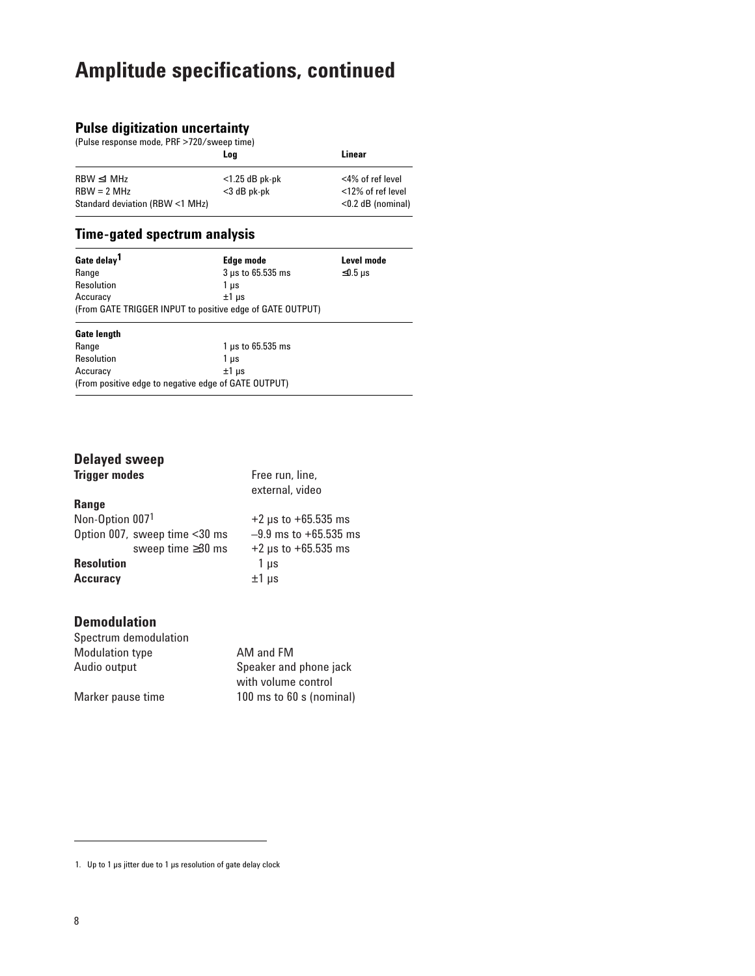### **Pulse digitization uncertainty**

(Pulse response mode, PRF >720/sweep time)

|                                 | Loa               | Linear               |
|---------------------------------|-------------------|----------------------|
| $RBW \leq 1 MHz$                | $<$ 1.25 dB pk-pk | <4% of ref level     |
| $RBW = 2 MHz$                   | <3 dB pk-pk       | <12% of ref level    |
| Standard deviation (RBW <1 MHz) |                   | $<$ 0.2 dB (nominal) |

### **Time-gated spectrum analysis**

| Gate delay <sup>1</sup> | Edge mode                                                 | Level mode |
|-------------------------|-----------------------------------------------------------|------------|
| Range                   | 3 µs to 65.535 ms                                         | $≤0.5$ µs  |
| Resolution              | 1 µs                                                      |            |
| Accuracy                | $±1$ us                                                   |            |
|                         | (From GATE TRIGGER INPUT to positive edge of GATE OUTPUT) |            |

## **Gate length**

| Range                                                | $1 \mu s$ to 65.535 ms |
|------------------------------------------------------|------------------------|
| Resolution                                           | 1 us                   |
| Accuracy                                             | $±1$ us                |
| (From positive edge to negative edge of GATE OUTPUT) |                        |

## **Delayed sweep**

| <b>Trigger modes</b>          | Free run, line,<br>external, video |
|-------------------------------|------------------------------------|
| <b>Range</b>                  |                                    |
| Non-Option 0071               | $+2 \mu s$ to $+65.535$ ms         |
| Option 007, sweep time <30 ms | $-9.9$ ms to $+65.535$ ms          |
| sweep time ≥30 ms             | $+2 \mu s$ to $+65.535 \mu s$      |
| <b>Resolution</b>             | 1 µs                               |
| <b>Accuracy</b>               | $±1 \mu s$                         |

### **Demodulation**

| Spectrum demodulation  |                          |
|------------------------|--------------------------|
| <b>Modulation type</b> | AM and FM                |
| Audio output           | Speaker and phone jack   |
|                        | with volume control      |
| Marker pause time      | 100 ms to 60 s (nominal) |

<sup>1.</sup> Up to 1 µs jitter due to 1 µs resolution of gate delay clock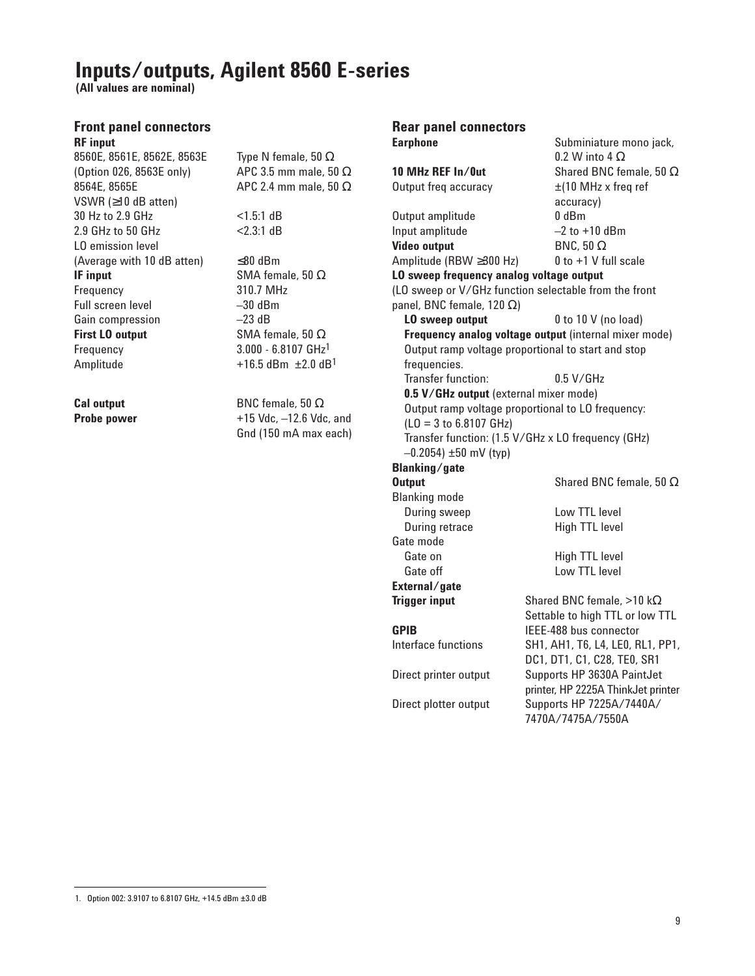## **Inputs/outputs, Agilent 8560 E-series**

**(All values are nominal)**

### **Front panel connectors RF input**

8560E, 8561E, 8562E, 8563E Type N female, 50 Ω (Option 026, 8563E only) APC 3.5 mm male, 50  $\Omega$ 8564E, 8565E APC 2.4 mm male, 50 Ω VSWR (≥10 dB atten) 30 Hz to 2.9 GHz <1.5:1 dB 2.9 GHz to 50 GHz <2.3:1 dB LO emission level (Average with 10 dB atten)  $\leq 80$  dBm **IF input** SMA female, 50 Ω Frequency 310.7 MHz Full screen level -30 dBm Gain compression –23 dB **First LO output** SMA female, 50 Ω Frequency 3.000 - 6.8107 GHz1 Amplitude  $+16.5$  dBm  $\pm 2.0$  dB<sup>1</sup>

**Cal output** BNC female, 50 Ω **Probe power**  $+15 \text{ Vdc}, -12.6 \text{ Vdc}, \text{and}$ Gnd (150 mA max each)

### **Rear panel connectors Earphone** Subminiature mono jack,

0.2 W into 4 Ω **10 MHz REF In/0ut** Shared BNC female, 50 Ω Output freq accuracy  $\pm$ (10 MHz x freq ref accuracy) Output amplitude 0 dBm Input amplitude –2 to +10 dBm **Video output** BNC, 50 Ω Amplitude (RBW  $\geq$ 300 Hz) 0 to +1 V full scale **LO sweep frequency analog voltage output** (LO sweep or V/GHz function selectable from the front panel, BNC female, 120 Ω) **LO sweep output** 0 to 10 V (no load) **Frequency analog voltage output** (internal mixer mode) Output ramp voltage proportional to start and stop frequencies. Transfer function: 0.5 V/GHz **0.5 V/GHz output** (external mixer mode) Output ramp voltage proportional to LO frequency: (LO = 3 to 6.8107 GHz) Transfer function: (1.5 V/GHz x LO frequency (GHz)  $-0.2054$ )  $\pm 50$  mV (typ) **Blanking/gate Output** Shared BNC female, 50 Ω Blanking mode During sweep Low TTL level During retrace High TTL level Gate mode Gate on High TTL level Gate off **Low TTL level External/gate Trigger input** Shared BNC female, >10 kΩ Settable to high TTL or low TTL **GPIB** IEEE-488 bus connector Interface functions SH1, AH1, T6, L4, LE0, RL1, PP1, DC1, DT1, C1, C28, TE0, SR1 Direct printer output Supports HP 3630A PaintJet printer, HP 2225A ThinkJet printer Direct plotter output Supports HP 7225A/7440A/ 7470A/7475A/7550A

<sup>1.</sup> Option 002: 3.9107 to 6.8107 GHz, +14.5 dBm ±3.0 dB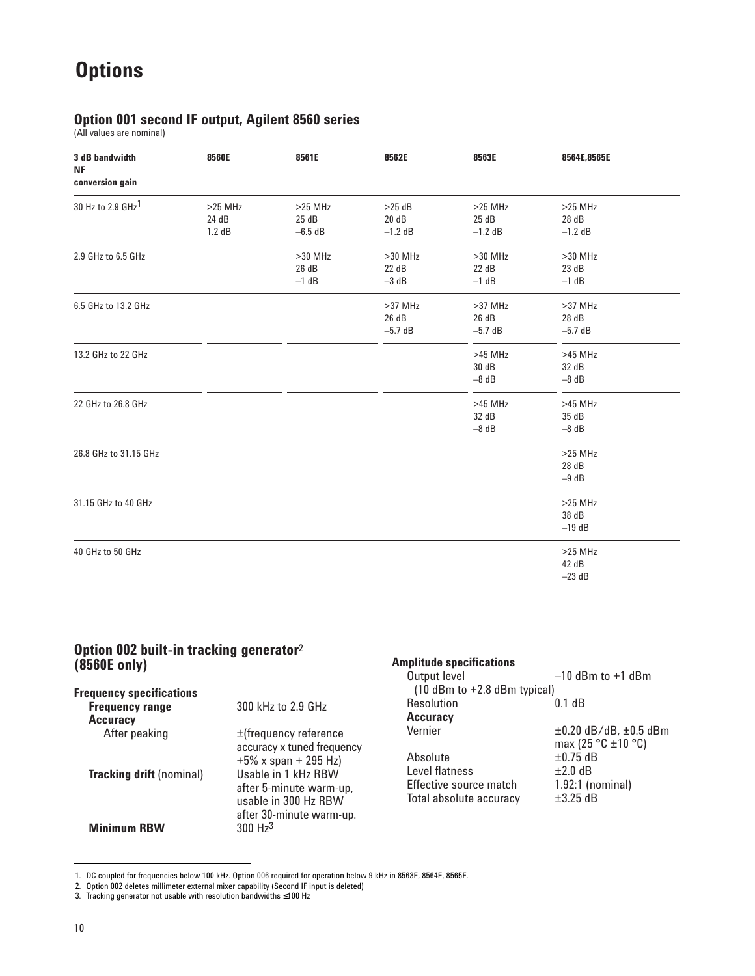# **Options**

## **Option 001 second IF output, Agilent 8560 series**

(All values are nominal)

| 3 dB bandwidth<br>NF<br>conversion gain | 8560E                        | 8561E                          | 8562E                           | 8563E                           | 8564E,8565E                     |
|-----------------------------------------|------------------------------|--------------------------------|---------------------------------|---------------------------------|---------------------------------|
| 30 Hz to 2.9 GHz <sup>1</sup>           | $>25$ MHz<br>24 dB<br>1.2 dB | $>25$ MHz<br>25dB<br>$-6.5$ dB | $>25$ dB<br>20 dB<br>$-1.2$ dB  | $>25$ MHz<br>25dB<br>$-1.2$ dB  | $>25$ MHz<br>28 dB<br>$-1.2$ dB |
| 2.9 GHz to 6.5 GHz                      |                              | $>30$ MHz<br>26 dB<br>$-1$ dB  | $>30$ MHz<br>22 dB<br>$-3$ dB   | $>30$ MHz<br>22 dB<br>$-1$ dB   | $>30$ MHz<br>23 dB<br>$-1$ dB   |
| 6.5 GHz to 13.2 GHz                     |                              |                                | $>37$ MHz<br>26 dB<br>$-5.7$ dB | $>37$ MHz<br>26 dB<br>$-5.7$ dB | $>37$ MHz<br>28 dB<br>$-5.7$ dB |
| 13.2 GHz to 22 GHz                      |                              |                                |                                 | $>45$ MHz<br>30 dB<br>$-8$ dB   | $>45$ MHz<br>32 dB<br>$-8$ dB   |
| 22 GHz to 26.8 GHz                      |                              |                                |                                 | $>45$ MHz<br>32 dB<br>$-8$ dB   | $>45$ MHz<br>35 dB<br>$-8$ dB   |
| 26.8 GHz to 31.15 GHz                   |                              |                                |                                 |                                 | $>25$ MHz<br>28 dB<br>$-9$ dB   |
| 31.15 GHz to 40 GHz                     |                              |                                |                                 |                                 | $>25$ MHz<br>38 dB<br>$-19$ dB  |
| 40 GHz to 50 GHz                        |                              |                                |                                 |                                 | $>25$ MHz<br>42 dB<br>$-23$ dB  |

### **Option 002 built-in tracking generator**<sup>2</sup> **(8560E only)**

|                                                                                                    | (10                        |
|----------------------------------------------------------------------------------------------------|----------------------------|
| 300 kHz to 2.9 GHz                                                                                 | Reso                       |
|                                                                                                    | Accu                       |
| ±(frequency reference                                                                              | Verni                      |
| $+5\%$ x span + 295 Hz)                                                                            | Abso                       |
| Usable in 1 kHz RBW<br>after 5-minute warm-up,<br>usable in 300 Hz RBW<br>after 30-minute warm-up. | Level<br>Effec<br>Total    |
| $300$ Hz <sup>3</sup>                                                                              |                            |
|                                                                                                    | accuracy x tuned frequency |

| $-10$ dBm to $+1$ dBm            |
|----------------------------------|
| $(10$ dBm to $+2.8$ dBm typical) |
| $0.1$ dB                         |
|                                  |
| ±0.20 dB/dB, ±0.5 dBm            |
| max (25 $°C \pm 10°C$ )          |
| $\pm 0.75$ dB                    |
| $+2.0$ dB                        |
| $1.92:1$ (nominal)               |
| $+3.25$ dB                       |
|                                  |

<sup>1.</sup> DC coupled for frequencies below 100 kHz. Option 006 required for operation below 9 kHz in 8563E, 8564E, 8565E.

<sup>2.</sup> Option 002 deletes millimeter external mixer capability (Second IF input is deleted) 3. Tracking generator not usable with resolution bandwidths ≤100 Hz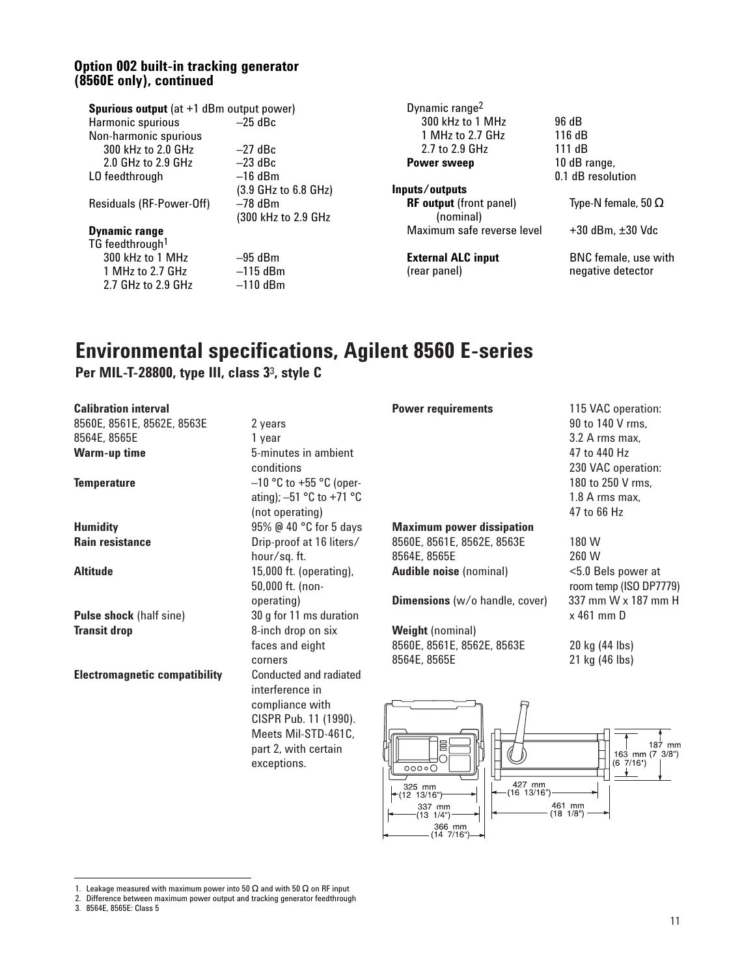### **Option 002 built-in tracking generator (8560E only), continued**

| <b>Spurious output</b> (at +1 dBm output power) |                      |
|-------------------------------------------------|----------------------|
| Harmonic spurious                               | $-25$ dBc            |
| Non-harmonic spurious                           |                      |
| 300 kHz to 2.0 GHz                              | $-27$ dBc            |
| 2.0 GHz to 2.9 GHz                              | $-23$ dBc            |
| LO feedthrough                                  | $-16$ dBm            |
|                                                 | (3.9 GHz to 6.8 GHz) |
| Residuals (RF-Power-Off)                        | –78 dBm              |
|                                                 | (300 kHz to 2.9 GHz) |
| <b>Dynamic range</b>                            |                      |
| TG feedthrough <sup>1</sup>                     |                      |
| 300 kHz to 1 MHz                                | $-95$ dBm            |
| 1 MHz to 2.7 GHz                                | $-115$ dBm           |
| 2.7 GHz to 2.9 GHz                              | $-110$ dBm           |

Dynamic range2 300 kHz to 1 MHz 96 dB<br>1 MHz to 2.7 GHz 116 dB 1 MHz to 2.7 GHz 116 dB<br>2.7 to 2.9 GHz 111 dB 2.7 to 2.9 GHz 111 dB<br> **wer sweep** 10 dB range, **Power sweep** 

**Inputs/outputs RF output** (front panel) Type-N female, 50 Ω (nominal) Maximum safe reverse level +30 dBm, ±30 Vdc

0.1 dB resolution

**External ALC input** BNC female, use with<br>
(rear panel) **and the interval in the inequative detector** negative detector

## **Environmental specifications, Agilent 8560 E-series**

## **Per MIL-T-28800, type III, class 3**3**, style C**

| <b>Calibration interval</b>          |                               | <b>Power requirements</b>             | 115 VAC operation:       |
|--------------------------------------|-------------------------------|---------------------------------------|--------------------------|
| 8560E, 8561E, 8562E, 8563E           | 2 years                       |                                       | 90 to 140 V rms,         |
| 8564E, 8565E                         | 1 year                        |                                       | 3.2 A rms max,           |
| <b>Warm-up time</b>                  | 5-minutes in ambient          |                                       | 47 to 440 Hz             |
|                                      | conditions                    |                                       | 230 VAC operation:       |
| <b>Temperature</b>                   | $-10$ °C to +55 °C (oper-     |                                       | 180 to 250 V rms,        |
|                                      | ating); $-51$ °C to +71 °C    |                                       | 1.8 A rms max,           |
|                                      | (not operating)               |                                       | 47 to 66 Hz              |
| <b>Humidity</b>                      | 95% @ 40 °C for 5 days        | <b>Maximum power dissipation</b>      |                          |
| <b>Rain resistance</b>               | Drip-proof at 16 liters/      | 8560E, 8561E, 8562E, 8563E            | 180 W                    |
|                                      | hour/sq.ft.                   | 8564E, 8565E                          | 260 W                    |
| <b>Altitude</b>                      | 15,000 ft. (operating),       | <b>Audible noise (nominal)</b>        | <5.0 Bels power at       |
|                                      | 50,000 ft. (non-              |                                       | room temp (ISO DP7779)   |
|                                      | operating)                    | <b>Dimensions</b> (w/o handle, cover) | 337 mm W x 187 mm H      |
| <b>Pulse shock (half sine)</b>       | 30 g for 11 ms duration       |                                       | $x$ 461 mm $D$           |
| <b>Transit drop</b>                  | 8-inch drop on six            | <b>Weight</b> (nominal)               |                          |
|                                      | faces and eight               | 8560E, 8561E, 8562E, 8563E            | 20 kg (44 lbs)           |
|                                      | corners                       | 8564E, 8565E                          | 21 kg (46 lbs)           |
| <b>Electromagnetic compatibility</b> | <b>Conducted and radiated</b> |                                       |                          |
|                                      | interference in               |                                       |                          |
|                                      | compliance with               |                                       |                          |
|                                      | CISPR Pub. 11 (1990).         |                                       |                          |
|                                      | Meets Mil-STD-461C,           |                                       |                          |
|                                      | part 2, with certain          | 冒                                     | mm<br>$163$ mm $(7.3/8)$ |

 $00000$ 

325 mm<br>12 13/16"

337 mn  $131/4"$ 366\_mm<br>14 7/16" 427 mm<br>(16 13/16")

461 mm<br>(18 1/8 )

exceptions.

 $163$  mm  $(7 \t3/8")$ <br> $(6 \t7/16")$ 

<sup>3. 8564</sup>E, 8565E: Class 5